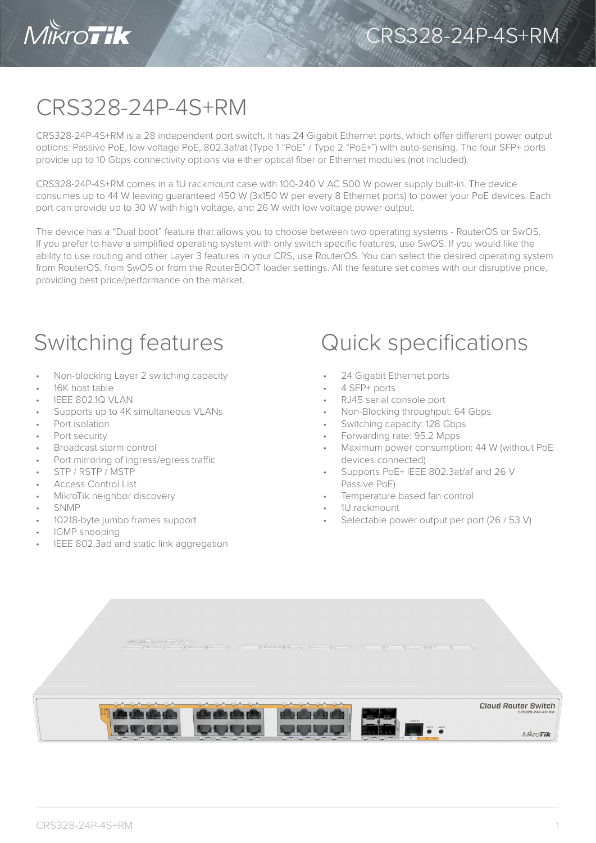

## CRS328-24P-4S+RM

CRS328-24P-4S+RM is a 28 independent port switch, it has 24 Gigabit Ethernet ports, which offer different power output options: Passive PoE, low voltage PoE, 802.3af/at (Type 1 "PoE" / Type 2 "PoE+") with auto-sensing. The four SFP+ ports provide up to 10 Gbps connectivity options via either optical fiber or Ethernet modules (not included).

CRS328-24P-4S+RM comes in a 1U rackmount case with 100-240 V AC 500 W power supply built-in. The device consumes up to 44 W leaving guaranteed 450 W (3x150 W per every 8 Ethernet ports) to power your PoE devices. Each port can provide up to 30 W with high voltage, and 26 W with low voltage power output.

The device has a "Dual boot" feature that allows you to choose between two operating systems - RouterOS or SwOS. If you prefer to have a simplified operating system with only switch specific features, use SwOS. If you would like the ability to use routing and other Layer 3 features in your CRS, use RouterOS. You can select the desired operating system from RouterOS, from SwOS or from the RouterBOOT loader settings. All the feature set comes with our disruptive price, providing best price/performance on the market.

- Non-blocking Layer 2 switching capacity
- 16K host table
- IEEE 802.1Q VLAN
- Supports up to 4K simultaneous VLANs
- Port isolation
- Port security
- Broadcast storm control
- Port mirroring of ingress/egress traffic
- STP / RSTP / MSTP
- Access Control List
- MikroTik neighbor discovery
- SNMP
- 10218-byte jumbo frames support
- IGMP snooping
- IEEE 802.3ad and static link aggregation

## Switching features **Quick specifications**

- 24 Gigabit Ethernet ports
- 4 SFP+ ports
- RJ45 serial console port
- Non-Blocking throughput: 64 Gbps
- Switching capacity: 128 Gbps
- Forwarding rate: 95.2 Mpps
- Maximum power consumption: 44 W (without PoE devices connected)
- Supports PoE+ IEEE 802.3at/af and 26 V Passive PoE)
- Temperature based fan control
- 1U rackmount
- Selectable power output per port (26 / 53 V)